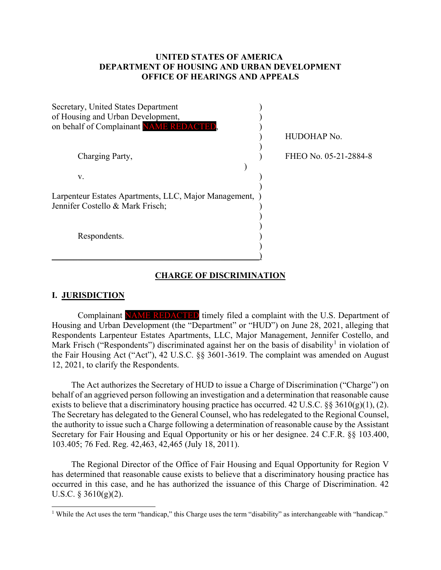# **UNITED STATES OF AMERICA DEPARTMENT OF HOUSING AND URBAN DEVELOPMENT OFFICE OF HEARINGS AND APPEALS**

| Secretary, United States Department<br>of Housing and Urban Development,<br>on behalf of Complainant NAME REDACTED, |                       |
|---------------------------------------------------------------------------------------------------------------------|-----------------------|
|                                                                                                                     | HUDOHAP No.           |
|                                                                                                                     | FHEO No. 05-21-2884-8 |
| Charging Party,                                                                                                     |                       |
| V.                                                                                                                  |                       |
| Larpenteur Estates Apartments, LLC, Major Management,<br>Jennifer Costello & Mark Frisch;                           |                       |
| Respondents.                                                                                                        |                       |

### **CHARGE OF DISCRIMINATION**

### **I. JURISDICTION**

 $\overline{a}$ 

Complainant NAME REDACTED timely filed a complaint with the U.S. Department of Housing and Urban Development (the "Department" or "HUD") on June 28, 2021, alleging that Respondents Larpenteur Estates Apartments, LLC, Major Management, Jennifer Costello, and Mark Frisch ("Respondents") discriminated against her on the basis of disability<sup>[1](#page-0-0)</sup> in violation of the Fair Housing Act ("Act"), 42 U.S.C. §§ 3601-3619. The complaint was amended on August 12, 2021, to clarify the Respondents.

The Act authorizes the Secretary of HUD to issue a Charge of Discrimination ("Charge") on behalf of an aggrieved person following an investigation and a determination that reasonable cause exists to believe that a discriminatory housing practice has occurred. 42 U.S.C.  $\S$ § 3610(g)(1), (2). The Secretary has delegated to the General Counsel, who has redelegated to the Regional Counsel, the authority to issue such a Charge following a determination of reasonable cause by the Assistant Secretary for Fair Housing and Equal Opportunity or his or her designee. 24 C.F.R. §§ 103.400, 103.405; 76 Fed. Reg. 42,463, 42,465 (July 18, 2011).

The Regional Director of the Office of Fair Housing and Equal Opportunity for Region V has determined that reasonable cause exists to believe that a discriminatory housing practice has occurred in this case, and he has authorized the issuance of this Charge of Discrimination. 42 U.S.C.  $\S$  3610(g)(2).

<span id="page-0-0"></span><sup>1</sup> While the Act uses the term "handicap," this Charge uses the term "disability" as interchangeable with "handicap."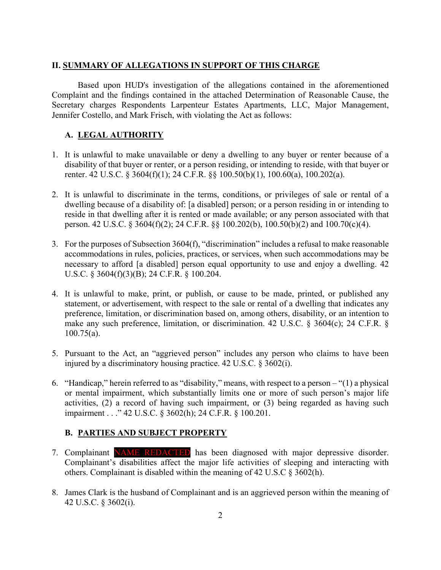#### **II. SUMMARY OF ALLEGATIONS IN SUPPORT OF THIS CHARGE**

Based upon HUD's investigation of the allegations contained in the aforementioned Complaint and the findings contained in the attached Determination of Reasonable Cause, the Secretary charges Respondents Larpenteur Estates Apartments, LLC, Major Management, Jennifer Costello, and Mark Frisch, with violating the Act as follows:

# **A. LEGAL AUTHORITY**

- 1. It is unlawful to make unavailable or deny a dwelling to any buyer or renter because of a disability of that buyer or renter, or a person residing, or intending to reside, with that buyer or renter. 42 U.S.C. § 3604(f)(1); 24 C.F.R. §§ 100.50(b)(1), 100.60(a), 100.202(a).
- 2. It is unlawful to discriminate in the terms, conditions, or privileges of sale or rental of a dwelling because of a disability of: [a disabled] person; or a person residing in or intending to reside in that dwelling after it is rented or made available; or any person associated with that person. 42 U.S.C. § 3604(f)(2); 24 C.F.R. §§ 100.202(b), 100.50(b)(2) and 100.70(c)(4).
- 3. For the purposes of Subsection 3604(f), "discrimination" includes a refusal to make reasonable accommodations in rules, policies, practices, or services, when such accommodations may be necessary to afford [a disabled] person equal opportunity to use and enjoy a dwelling. 42 U.S.C. § 3604(f)(3)(B); 24 C.F.R. § 100.204.
- 4. It is unlawful to make, print, or publish, or cause to be made, printed, or published any statement, or advertisement, with respect to the sale or rental of a dwelling that indicates any preference, limitation, or discrimination based on, among others, disability, or an intention to make any such preference, limitation, or discrimination. 42 U.S.C. § 3604(c); 24 C.F.R. § 100.75(a).
- 5. Pursuant to the Act, an "aggrieved person" includes any person who claims to have been injured by a discriminatory housing practice. 42 U.S.C. § 3602(i).
- 6. "Handicap," herein referred to as "disability," means, with respect to a person "(1) a physical or mental impairment, which substantially limits one or more of such person's major life activities, (2) a record of having such impairment, or (3) being regarded as having such impairment . . ." 42 U.S.C. § 3602(h); 24 C.F.R. § 100.201.

### **B. PARTIES AND SUBJECT PROPERTY**

- 7. Complainant NAME REDACTED has been diagnosed with major depressive disorder. Complainant's disabilities affect the major life activities of sleeping and interacting with others. Complainant is disabled within the meaning of 42 U.S.C § 3602(h).
- 8. James Clark is the husband of Complainant and is an aggrieved person within the meaning of 42 U.S.C. § 3602(i).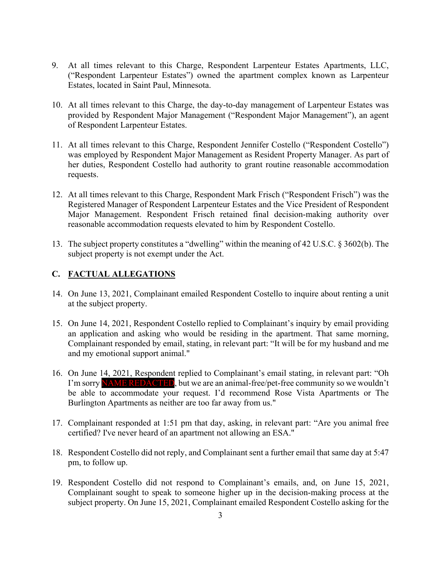- 9. At all times relevant to this Charge, Respondent Larpenteur Estates Apartments, LLC, ("Respondent Larpenteur Estates") owned the apartment complex known as Larpenteur Estates, located in Saint Paul, Minnesota.
- 10. At all times relevant to this Charge, the day-to-day management of Larpenteur Estates was provided by Respondent Major Management ("Respondent Major Management"), an agent of Respondent Larpenteur Estates.
- 11. At all times relevant to this Charge, Respondent Jennifer Costello ("Respondent Costello") was employed by Respondent Major Management as Resident Property Manager. As part of her duties, Respondent Costello had authority to grant routine reasonable accommodation requests.
- 12. At all times relevant to this Charge, Respondent Mark Frisch ("Respondent Frisch") was the Registered Manager of Respondent Larpenteur Estates and the Vice President of Respondent Major Management. Respondent Frisch retained final decision-making authority over reasonable accommodation requests elevated to him by Respondent Costello.
- 13. The subject property constitutes a "dwelling" within the meaning of 42 U.S.C. § 3602(b). The subject property is not exempt under the Act.

# **C. FACTUAL ALLEGATIONS**

- 14. On June 13, 2021, Complainant emailed Respondent Costello to inquire about renting a unit at the subject property.
- 15. On June 14, 2021, Respondent Costello replied to Complainant's inquiry by email providing an application and asking who would be residing in the apartment. That same morning, Complainant responded by email, stating, in relevant part: "It will be for my husband and me and my emotional support animal."
- 16. On June 14, 2021, Respondent replied to Complainant's email stating, in relevant part: "Oh I'm sorry NAME REDACTED, but we are an animal-free/pet-free community so we wouldn't be able to accommodate your request. I'd recommend Rose Vista Apartments or The Burlington Apartments as neither are too far away from us."
- 17. Complainant responded at 1:51 pm that day, asking, in relevant part: "Are you animal free certified? I've never heard of an apartment not allowing an ESA."
- 18. Respondent Costello did not reply, and Complainant sent a further email that same day at 5:47 pm, to follow up.
- 19. Respondent Costello did not respond to Complainant's emails, and, on June 15, 2021, Complainant sought to speak to someone higher up in the decision-making process at the subject property. On June 15, 2021, Complainant emailed Respondent Costello asking for the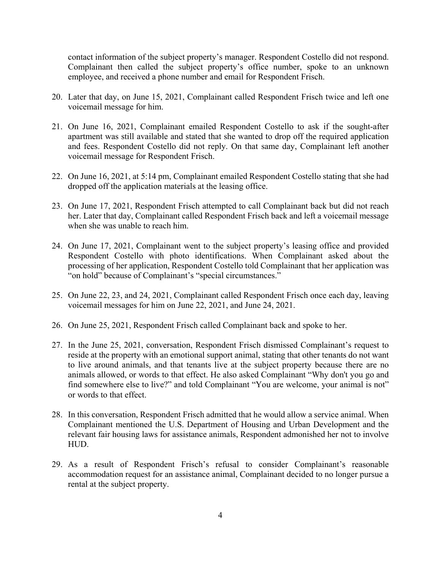contact information of the subject property's manager. Respondent Costello did not respond. Complainant then called the subject property's office number, spoke to an unknown employee, and received a phone number and email for Respondent Frisch.

- 20. Later that day, on June 15, 2021, Complainant called Respondent Frisch twice and left one voicemail message for him.
- 21. On June 16, 2021, Complainant emailed Respondent Costello to ask if the sought-after apartment was still available and stated that she wanted to drop off the required application and fees. Respondent Costello did not reply. On that same day, Complainant left another voicemail message for Respondent Frisch.
- 22. On June 16, 2021, at 5:14 pm, Complainant emailed Respondent Costello stating that she had dropped off the application materials at the leasing office.
- 23. On June 17, 2021, Respondent Frisch attempted to call Complainant back but did not reach her. Later that day, Complainant called Respondent Frisch back and left a voicemail message when she was unable to reach him.
- 24. On June 17, 2021, Complainant went to the subject property's leasing office and provided Respondent Costello with photo identifications. When Complainant asked about the processing of her application, Respondent Costello told Complainant that her application was "on hold" because of Complainant's "special circumstances."
- 25. On June 22, 23, and 24, 2021, Complainant called Respondent Frisch once each day, leaving voicemail messages for him on June 22, 2021, and June 24, 2021.
- 26. On June 25, 2021, Respondent Frisch called Complainant back and spoke to her.
- 27. In the June 25, 2021, conversation, Respondent Frisch dismissed Complainant's request to reside at the property with an emotional support animal, stating that other tenants do not want to live around animals, and that tenants live at the subject property because there are no animals allowed, or words to that effect. He also asked Complainant "Why don't you go and find somewhere else to live?" and told Complainant "You are welcome, your animal is not" or words to that effect.
- 28. In this conversation, Respondent Frisch admitted that he would allow a service animal. When Complainant mentioned the U.S. Department of Housing and Urban Development and the relevant fair housing laws for assistance animals, Respondent admonished her not to involve HUD.
- 29. As a result of Respondent Frisch's refusal to consider Complainant's reasonable accommodation request for an assistance animal, Complainant decided to no longer pursue a rental at the subject property.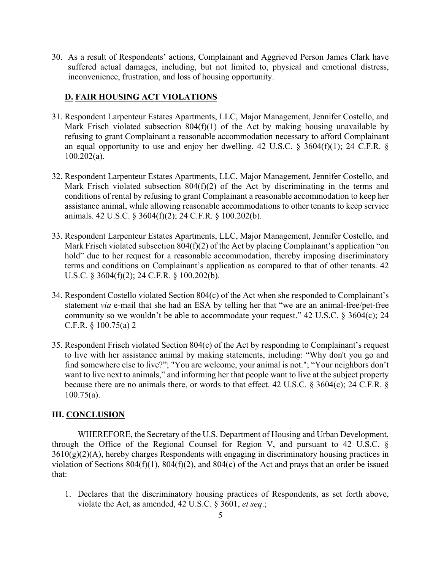30. As a result of Respondents' actions, Complainant and Aggrieved Person James Clark have suffered actual damages, including, but not limited to, physical and emotional distress, inconvenience, frustration, and loss of housing opportunity.

# **D. FAIR HOUSING ACT VIOLATIONS**

- 31. Respondent Larpenteur Estates Apartments, LLC, Major Management, Jennifer Costello, and Mark Frisch violated subsection  $804(f)(1)$  of the Act by making housing unavailable by refusing to grant Complainant a reasonable accommodation necessary to afford Complainant an equal opportunity to use and enjoy her dwelling. 42 U.S.C. § 3604(f)(1); 24 C.F.R. § 100.202(a).
- 32. Respondent Larpenteur Estates Apartments, LLC, Major Management, Jennifer Costello, and Mark Frisch violated subsection  $804(f)(2)$  of the Act by discriminating in the terms and conditions of rental by refusing to grant Complainant a reasonable accommodation to keep her assistance animal, while allowing reasonable accommodations to other tenants to keep service animals. 42 U.S.C. § 3604(f)(2); 24 C.F.R. § 100.202(b).
- 33. Respondent Larpenteur Estates Apartments, LLC, Major Management, Jennifer Costello, and Mark Frisch violated subsection 804(f)(2) of the Act by placing Complainant's application "on hold" due to her request for a reasonable accommodation, thereby imposing discriminatory terms and conditions on Complainant's application as compared to that of other tenants. 42 U.S.C. § 3604(f)(2); 24 C.F.R. § 100.202(b).
- 34. Respondent Costello violated Section 804(c) of the Act when she responded to Complainant's statement *via* e-mail that she had an ESA by telling her that "we are an animal-free/pet-free community so we wouldn't be able to accommodate your request." 42 U.S.C. § 3604(c); 24 C.F.R. § 100.75(a) 2
- 35. Respondent Frisch violated Section 804(c) of the Act by responding to Complainant's request to live with her assistance animal by making statements, including: "Why don't you go and find somewhere else to live?"; "You are welcome, your animal is not."; "Your neighbors don't want to live next to animals," and informing her that people want to live at the subject property because there are no animals there, or words to that effect. 42 U.S.C. § 3604(c); 24 C.F.R. § 100.75(a).

### **III. CONCLUSION**

WHEREFORE, the Secretary of the U.S. Department of Housing and Urban Development, through the Office of the Regional Counsel for Region V, and pursuant to 42 U.S.C. §  $3610(g)(2)(A)$ , hereby charges Respondents with engaging in discriminatory housing practices in violation of Sections 804(f)(1), 804(f)(2), and 804(c) of the Act and prays that an order be issued that:

1. Declares that the discriminatory housing practices of Respondents, as set forth above, violate the Act, as amended, 42 U.S.C. § 3601, *et seq*.;